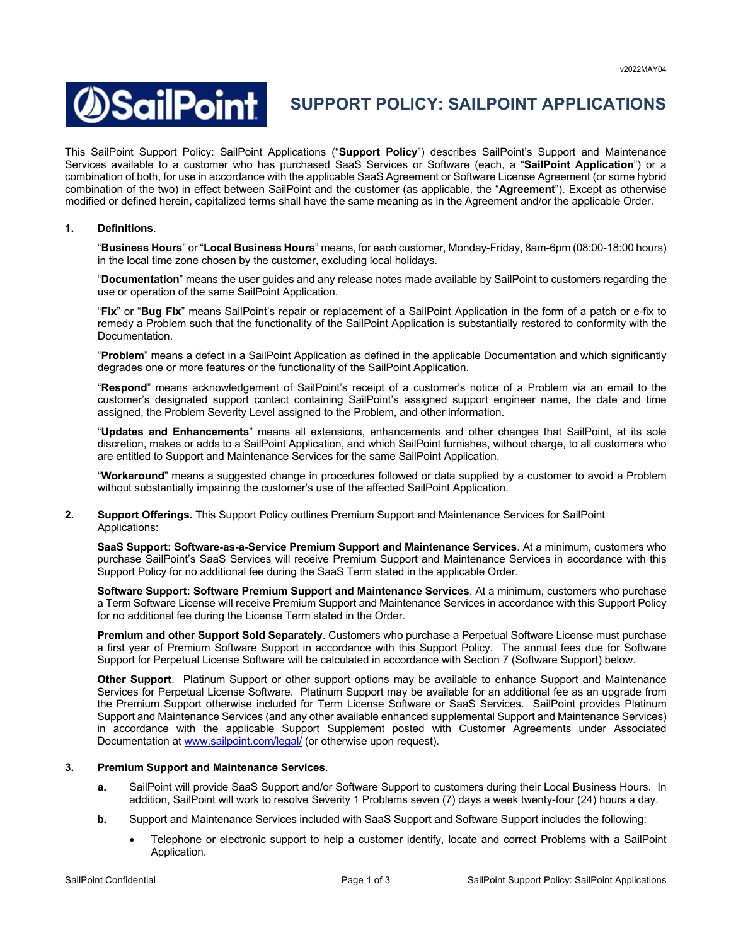

# **SUPPORT POLICY: SAILPOINT APPLICATIONS**

This SailPoint Support Policy: SailPoint Applications ("**Support Policy**") describes SailPoint's Support and Maintenance Services available to a customer who has purchased SaaS Services or Software (each, a "**SailPoint Application**") or a combination of both, for use in accordance with the applicable SaaS Agreement or Software License Agreement (or some hybrid combination of the two) in effect between SailPoint and the customer (as applicable, the "**Agreement**"). Except as otherwise modified or defined herein, capitalized terms shall have the same meaning as in the Agreement and/or the applicable Order.

## **1. Definitions**.

"**Business Hours**" or "**Local Business Hours**" means, for each customer, Monday-Friday, 8am-6pm (08:00-18:00 hours) in the local time zone chosen by the customer, excluding local holidays.

"**Documentation**" means the user guides and any release notes made available by SailPoint to customers regarding the use or operation of the same SailPoint Application.

"**Fix**" or "**Bug Fix**" means SailPoint's repair or replacement of a SailPoint Application in the form of a patch or e-fix to remedy a Problem such that the functionality of the SailPoint Application is substantially restored to conformity with the Documentation.

"**Problem**" means a defect in a SailPoint Application as defined in the applicable Documentation and which significantly degrades one or more features or the functionality of the SailPoint Application.

"**Respond**" means acknowledgement of SailPoint's receipt of a customer's notice of a Problem via an email to the customer's designated support contact containing SailPoint's assigned support engineer name, the date and time assigned, the Problem Severity Level assigned to the Problem, and other information.

"**Updates and Enhancements**" means all extensions, enhancements and other changes that SailPoint, at its sole discretion, makes or adds to a SailPoint Application, and which SailPoint furnishes, without charge, to all customers who are entitled to Support and Maintenance Services for the same SailPoint Application.

"**Workaround**" means a suggested change in procedures followed or data supplied by a customer to avoid a Problem without substantially impairing the customer's use of the affected SailPoint Application.

### **2. Support Offerings.** This Support Policy outlines Premium Support and Maintenance Services for SailPoint Applications:

**SaaS Support: Software-as-a-Service Premium Support and Maintenance Services**. At a minimum, customers who purchase SailPoint's SaaS Services will receive Premium Support and Maintenance Services in accordance with this Support Policy for no additional fee during the SaaS Term stated in the applicable Order.

**Software Support: Software Premium Support and Maintenance Services**. At a minimum, customers who purchase a Term Software License will receive Premium Support and Maintenance Services in accordance with this Support Policy for no additional fee during the License Term stated in the Order.

**Premium and other Support Sold Separately**. Customers who purchase a Perpetual Software License must purchase a first year of Premium Software Support in accordance with this Support Policy. The annual fees due for Software Support for Perpetual License Software will be calculated in accordance with Section 7 (Software Support) below.

**Other Support**. Platinum Support or other support options may be available to enhance Support and Maintenance Services for Perpetual License Software. Platinum Support may be available for an additional fee as an upgrade from the Premium Support otherwise included for Term License Software or SaaS Services. SailPoint provides Platinum Support and Maintenance Services (and any other available enhanced supplemental Support and Maintenance Services) in accordance with the applicable Support Supplement posted with Customer Agreements under Associated Documentation at www.sailpoint.com/legal/ (or otherwise upon request).

#### **3. Premium Support and Maintenance Services**.

- **a.** SailPoint will provide SaaS Support and/or Software Support to customers during their Local Business Hours. In addition, SailPoint will work to resolve Severity 1 Problems seven (7) days a week twenty-four (24) hours a day.
- **b.** Support and Maintenance Services included with SaaS Support and Software Support includes the following:
	- Telephone or electronic support to help a customer identify, locate and correct Problems with a SailPoint Application.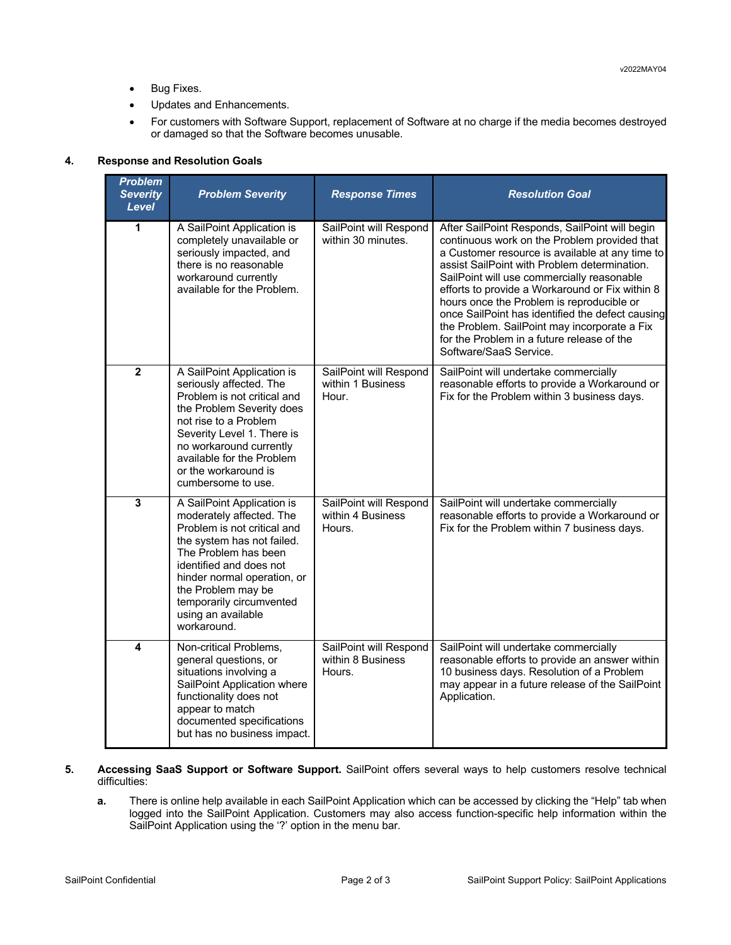- Bug Fixes.
- Updates and Enhancements.
- For customers with Software Support, replacement of Software at no charge if the media becomes destroyed or damaged so that the Software becomes unusable.

# **4. Response and Resolution Goals**

| <b>Problem</b><br><b>Severity</b><br>Level | <b>Problem Severity</b>                                                                                                                                                                                                                                                                      | <b>Response Times</b>                                 | <b>Resolution Goal</b>                                                                                                                                                                                                                                                                                                                                                                                                                                                                                                      |
|--------------------------------------------|----------------------------------------------------------------------------------------------------------------------------------------------------------------------------------------------------------------------------------------------------------------------------------------------|-------------------------------------------------------|-----------------------------------------------------------------------------------------------------------------------------------------------------------------------------------------------------------------------------------------------------------------------------------------------------------------------------------------------------------------------------------------------------------------------------------------------------------------------------------------------------------------------------|
| 1                                          | A SailPoint Application is<br>completely unavailable or<br>seriously impacted, and<br>there is no reasonable<br>workaround currently<br>available for the Problem.                                                                                                                           | SailPoint will Respond<br>within 30 minutes.          | After SailPoint Responds, SailPoint will begin<br>continuous work on the Problem provided that<br>a Customer resource is available at any time to<br>assist SailPoint with Problem determination.<br>SailPoint will use commercially reasonable<br>efforts to provide a Workaround or Fix within 8<br>hours once the Problem is reproducible or<br>once SailPoint has identified the defect causing<br>the Problem. SailPoint may incorporate a Fix<br>for the Problem in a future release of the<br>Software/SaaS Service. |
| $\overline{\mathbf{2}}$                    | A SailPoint Application is<br>seriously affected. The<br>Problem is not critical and<br>the Problem Severity does<br>not rise to a Problem<br>Severity Level 1. There is<br>no workaround currently<br>available for the Problem<br>or the workaround is<br>cumbersome to use.               | SailPoint will Respond<br>within 1 Business<br>Hour.  | SailPoint will undertake commercially<br>reasonable efforts to provide a Workaround or<br>Fix for the Problem within 3 business days.                                                                                                                                                                                                                                                                                                                                                                                       |
| $\overline{\mathbf{3}}$                    | A SailPoint Application is<br>moderately affected. The<br>Problem is not critical and<br>the system has not failed.<br>The Problem has been<br>identified and does not<br>hinder normal operation, or<br>the Problem may be<br>temporarily circumvented<br>using an available<br>workaround. | SailPoint will Respond<br>within 4 Business<br>Hours. | SailPoint will undertake commercially<br>reasonable efforts to provide a Workaround or<br>Fix for the Problem within 7 business days.                                                                                                                                                                                                                                                                                                                                                                                       |
| 4                                          | Non-critical Problems,<br>general questions, or<br>situations involving a<br>SailPoint Application where<br>functionality does not<br>appear to match<br>documented specifications<br>but has no business impact.                                                                            | SailPoint will Respond<br>within 8 Business<br>Hours. | SailPoint will undertake commercially<br>reasonable efforts to provide an answer within<br>10 business days. Resolution of a Problem<br>may appear in a future release of the SailPoint<br>Application.                                                                                                                                                                                                                                                                                                                     |

- **5. Accessing SaaS Support or Software Support.** SailPoint offers several ways to help customers resolve technical difficulties:
	- **a.** There is online help available in each SailPoint Application which can be accessed by clicking the "Help" tab when logged into the SailPoint Application. Customers may also access function-specific help information within the SailPoint Application using the '?' option in the menu bar.